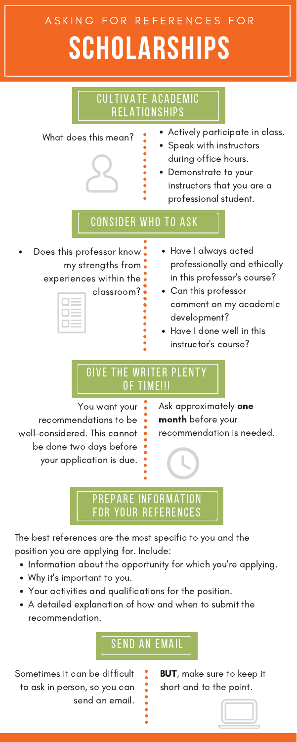# A S K I N G F O R R E F E R E N C E S F O R SCHOLARSHIPS



- You want your
- recommendations to be
- well-considered. This cannot
- 
- Ask approximately one month before your recommendation is needed.



## Prepare information for your References

The best references are the most specific to you and the position you are applying for. Include:

- Information about the opportunity for which you 're applying.
- Why it' s important to you.
- Your activities and qualifications for the position.
- A detailed explanation of how and when to submit the recommendation.

## Send an email

Sometimes it can be difficult

to ask in person, so you can

- send an email.
- **BUT**, make sure to keep it short and to the point.